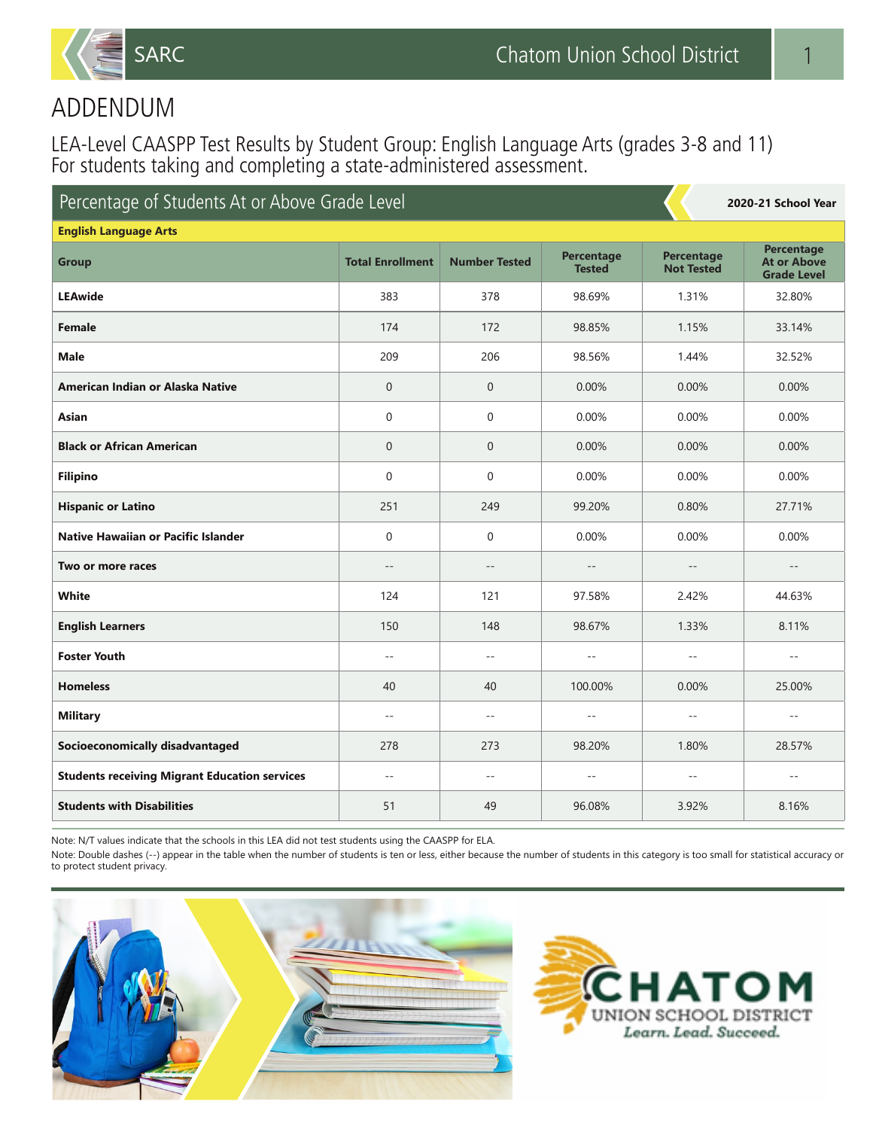

## ADDENDUM

LEA-Level CAASPP Test Results by Student Group: English Language Arts (grades 3-8 and 11) For students taking and completing a state-administered assessment.

| Percentage of Students At or Above Grade Level       | 2020-21 School Year        |                          |                                    |                                        |                                                        |
|------------------------------------------------------|----------------------------|--------------------------|------------------------------------|----------------------------------------|--------------------------------------------------------|
| <b>English Language Arts</b>                         |                            |                          |                                    |                                        |                                                        |
| <b>Group</b>                                         | <b>Total Enrollment</b>    | <b>Number Tested</b>     | <b>Percentage</b><br><b>Tested</b> | <b>Percentage</b><br><b>Not Tested</b> | Percentage<br><b>At or Above</b><br><b>Grade Level</b> |
| <b>LEAwide</b>                                       | 383                        | 378                      | 98.69%                             | 1.31%                                  | 32.80%                                                 |
| Female                                               | 174                        | 172                      | 98.85%                             | 1.15%                                  | 33.14%                                                 |
| <b>Male</b>                                          | 209                        | 206                      | 98.56%                             | 1.44%                                  | 32.52%                                                 |
| American Indian or Alaska Native                     | $\Omega$                   | $\mathbf{0}$             | 0.00%                              | 0.00%                                  | 0.00%                                                  |
| <b>Asian</b>                                         | $\Omega$                   | $\Omega$                 | 0.00%                              | 0.00%                                  | 0.00%                                                  |
| <b>Black or African American</b>                     | $\Omega$                   | $\mathbf{0}$             | 0.00%                              | 0.00%                                  | 0.00%                                                  |
| <b>Filipino</b>                                      | $\mathbf 0$                | $\mathbf 0$              | 0.00%                              | 0.00%                                  | 0.00%                                                  |
| <b>Hispanic or Latino</b>                            | 251                        | 249                      | 99.20%                             | 0.80%                                  | 27.71%                                                 |
| Native Hawaiian or Pacific Islander                  | $\Omega$                   | $\mathbf 0$              | 0.00%                              | 0.00%                                  | 0.00%                                                  |
| Two or more races                                    | $\overline{\phantom{a}}$ . | $-$                      | $-$                                | $\overline{\phantom{a}}$ .             | $-$                                                    |
| White                                                | 124                        | 121                      | 97.58%                             | 2.42%                                  | 44.63%                                                 |
| <b>English Learners</b>                              | 150                        | 148                      | 98.67%                             | 1.33%                                  | 8.11%                                                  |
| <b>Foster Youth</b>                                  | $\overline{a}$             | $- -$                    | $-$                                | $- -$                                  | $\sim$ $-$                                             |
| <b>Homeless</b>                                      | 40                         | 40                       | 100.00%                            | 0.00%                                  | 25.00%                                                 |
| <b>Military</b>                                      | $\sim$ $\sim$              | $\sim$ $\sim$            | $\sim$ $\sim$                      | $\sim$                                 | $\sim$ $\sim$                                          |
| Socioeconomically disadvantaged                      | 278                        | 273                      | 98.20%                             | 1.80%                                  | 28.57%                                                 |
| <b>Students receiving Migrant Education services</b> | $\sim$ $\sim$              | $\overline{\phantom{a}}$ | $\sim$ $\sim$                      | $-$                                    | $\sim$ $\sim$                                          |
| <b>Students with Disabilities</b>                    | 51                         | 49                       | 96.08%                             | 3.92%                                  | 8.16%                                                  |

Note: N/T values indicate that the schools in this LEA did not test students using the CAASPP for ELA.

Note: Double dashes (--) appear in the table when the number of students is ten or less, either because the number of students in this category is too small for statistical accuracy or to protect student privacy.